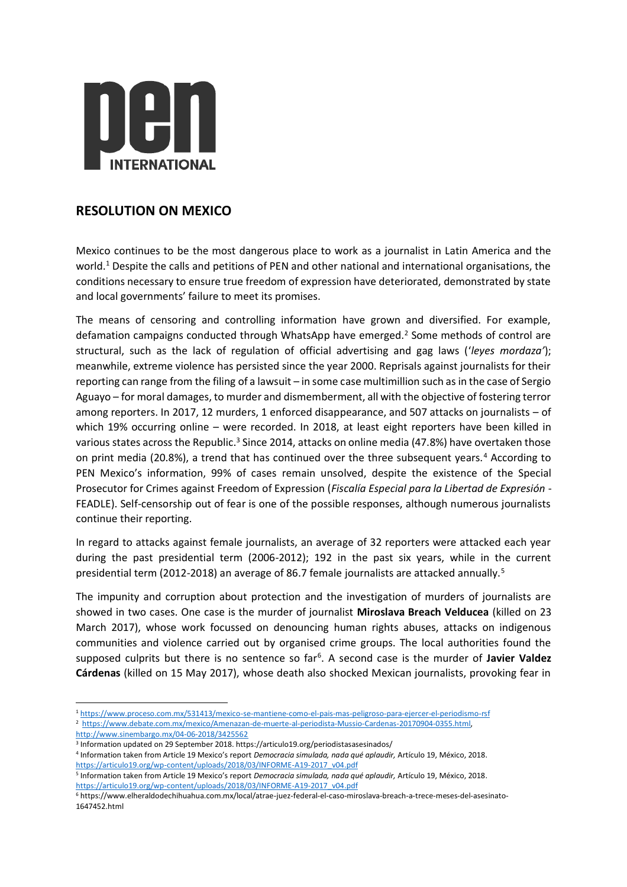

## **RESOLUTION ON MEXICO**

Mexico continues to be the most dangerous place to work as a journalist in Latin America and the world.<sup>1</sup> Despite the calls and petitions of PEN and other national and international organisations, the conditions necessary to ensure true freedom of expression have deteriorated, demonstrated by state and local governments' failure to meet its promises.

The means of censoring and controlling information have grown and diversified. For example, defamation campaigns conducted through WhatsApp have emerged.<sup>2</sup> Some methods of control are structural, such as the lack of regulation of official advertising and gag laws ('*leyes mordaza'*); meanwhile, extreme violence has persisted since the year 2000. Reprisals against journalists for their reporting can range from the filing of a lawsuit – in some case multimillion such as in the case of Sergio Aguayo – for moral damages, to murder and dismemberment, all with the objective of fostering terror among reporters. In 2017, 12 murders, 1 enforced disappearance, and 507 attacks on journalists – of which 19% occurring online – were recorded. In 2018, at least eight reporters have been killed in various states across the Republic.<sup>3</sup> Since 2014, attacks on online media (47.8%) have overtaken those on print media (20.8%), a trend that has continued over the three subsequent years.<sup>4</sup> According to PEN Mexico's information, 99% of cases remain unsolved, despite the existence of the Special Prosecutor for Crimes against Freedom of Expression (*Fiscalía Especial para la Libertad de Expresión* - FEADLE). Self-censorship out of fear is one of the possible responses, although numerous journalists continue their reporting.

In regard to attacks against female journalists, an average of 32 reporters were attacked each year during the past presidential term (2006-2012); 192 in the past six years, while in the current presidential term (2012-2018) an average of 86.7 female journalists are attacked annually.<sup>5</sup>

The impunity and corruption about protection and the investigation of murders of journalists are showed in two cases. One case is the murder of journalist **Miroslava Breach Velducea** (killed on 23 March 2017), whose work focussed on denouncing human rights abuses, attacks on indigenous communities and violence carried out by organised crime groups. The local authorities found the supposed culprits but there is no sentence so far<sup>6</sup>. A second case is the murder of Javier Valdez **Cárdenas** (killed on 15 May 2017), whose death also shocked Mexican journalists, provoking fear in

3 Information updated on 29 September 2018. https://articulo19.org/periodistasasesinados/

 $\overline{a}$ 

<sup>1</sup> <https://www.proceso.com.mx/531413/mexico-se-mantiene-como-el-pais-mas-peligroso-para-ejercer-el-periodismo-rsf> <sup>2</sup> https://www.debate.com.mx/mexico/Amenazan-de-muerte-al-periodista-Mussio-Cardenas-20170904-0355.html, <http://www.sinembargo.mx/04-06-2018/3425562>

<sup>4</sup> Information taken from Article 19 Mexico's report *Democracia simulada, nada qué aplaudir,* Artículo 19, México, 2018. [https://articulo19.org/wp-content/uploads/2018/03/INFORME-A19-2017\\_v04.pdf](https://articulo19.org/wp-content/uploads/2018/03/INFORME-A19-2017_v04.pdf)

<sup>5</sup> Information taken from Article 19 Mexico's report *Democracia simulada, nada qué aplaudir,* Artículo 19, México, 2018. [https://articulo19.org/wp-content/uploads/2018/03/INFORME-A19-2017\\_v04.pdf](https://articulo19.org/wp-content/uploads/2018/03/INFORME-A19-2017_v04.pdf)

<sup>6</sup> https://www.elheraldodechihuahua.com.mx/local/atrae-juez-federal-el-caso-miroslava-breach-a-trece-meses-del-asesinato-1647452.html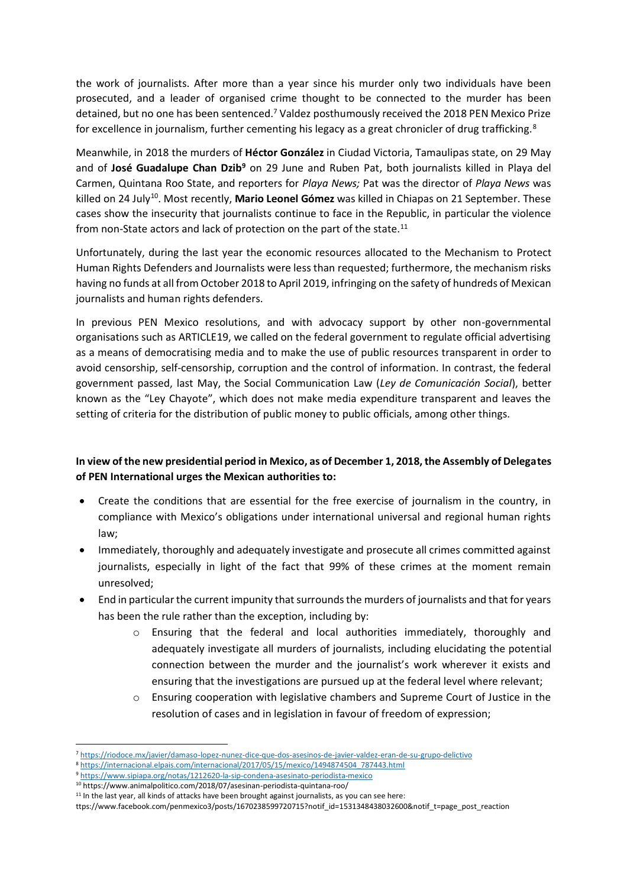the work of journalists. After more than a year since his murder only two individuals have been prosecuted, and a leader of organised crime thought to be connected to the murder has been detained, but no one has been sentenced.<sup>7</sup> Valdez posthumously received the 2018 PEN Mexico Prize for excellence in journalism, further cementing his legacy as a great chronicler of drug trafficking.<sup>8</sup>

Meanwhile, in 2018 the murders of **Héctor González** in Ciudad Victoria, Tamaulipas state, on 29 May and of **José Guadalupe Chan Dzib<sup>9</sup>** on 29 June and Ruben Pat, both journalists killed in Playa del Carmen, Quintana Roo State, and reporters for *Playa News;* Pat was the director of *Playa News* was killed on 24 July<sup>10</sup>. Most recently, Mario Leonel Gómez was killed in Chiapas on 21 September. These cases show the insecurity that journalists continue to face in the Republic, in particular the violence from non-State actors and lack of protection on the part of the state.<sup>11</sup>

Unfortunately, during the last year the economic resources allocated to the Mechanism to Protect Human Rights Defenders and Journalists were less than requested; furthermore, the mechanism risks having no funds at all from October 2018 to April 2019, infringing on the safety of hundreds of Mexican journalists and human rights defenders.

In previous PEN Mexico resolutions, and with advocacy support by other non-governmental organisations such as ARTICLE19, we called on the federal government to regulate official advertising as a means of democratising media and to make the use of public resources transparent in order to avoid censorship, self-censorship, corruption and the control of information. In contrast, the federal government passed, last May, the Social Communication Law (*Ley de Comunicación Social*), better known as the "Ley Chayote", which does not make media expenditure transparent and leaves the setting of criteria for the distribution of public money to public officials, among other things.

## **In view of the new presidential period in Mexico, as of December 1, 2018, the Assembly of Delegates of PEN International urges the Mexican authorities to:**

- Create the conditions that are essential for the free exercise of journalism in the country, in compliance with Mexico's obligations under international universal and regional human rights law;
- Immediately, thoroughly and adequately investigate and prosecute all crimes committed against journalists, especially in light of the fact that 99% of these crimes at the moment remain unresolved;
- End in particular the current impunity that surrounds the murders of journalists and that for years has been the rule rather than the exception, including by:
	- $\circ$  Ensuring that the federal and local authorities immediately, thoroughly and adequately investigate all murders of journalists, including elucidating the potential connection between the murder and the journalist's work wherever it exists and ensuring that the investigations are pursued up at the federal level where relevant;
	- o Ensuring cooperation with legislative chambers and Supreme Court of Justice in the resolution of cases and in legislation in favour of freedom of expression;

 $\overline{a}$ 

<sup>7</sup> <https://riodoce.mx/javier/damaso-lopez-nunez-dice-que-dos-asesinos-de-javier-valdez-eran-de-su-grupo-delictivo>

<sup>8</sup> [https://internacional.elpais.com/internacional/2017/05/15/mexico/1494874504\\_787443.html](https://internacional.elpais.com/internacional/2017/05/15/mexico/1494874504_787443.html)

<sup>9</sup> <https://www.sipiapa.org/notas/1212620-la-sip-condena-asesinato-periodista-mexico>

<sup>10</sup> https://www.animalpolitico.com/2018/07/asesinan-periodista-quintana-roo/

 $11$  In the last year, all kinds of attacks have been brought against journalists, as you can see here:

ttps://www.facebook.com/penmexico3/posts/1670238599720715?notif\_id=1531348438032600&notif\_t=page\_post\_reaction